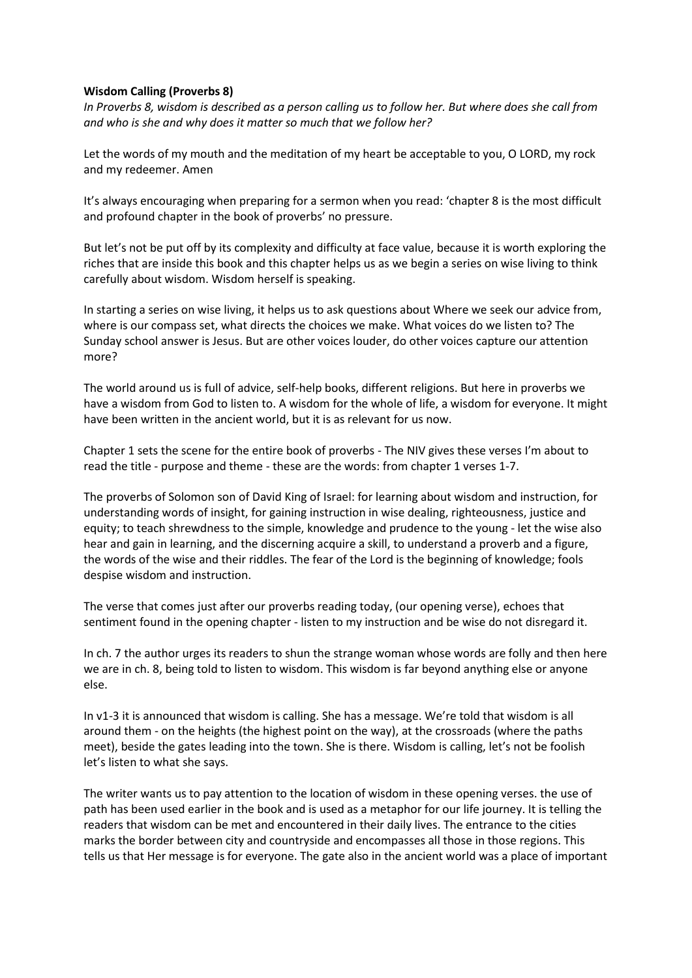## **Wisdom Calling (Proverbs 8)**

*In Proverbs 8, wisdom is described as a person calling us to follow her. But where does she call from and who is she and why does it matter so much that we follow her?*

Let the words of my mouth and the meditation of my heart be acceptable to you, O LORD, my rock and my redeemer. Amen

It's always encouraging when preparing for a sermon when you read: 'chapter 8 is the most difficult and profound chapter in the book of proverbs' no pressure.

But let's not be put off by its complexity and difficulty at face value, because it is worth exploring the riches that are inside this book and this chapter helps us as we begin a series on wise living to think carefully about wisdom. Wisdom herself is speaking.

In starting a series on wise living, it helps us to ask questions about Where we seek our advice from, where is our compass set, what directs the choices we make. What voices do we listen to? The Sunday school answer is Jesus. But are other voices louder, do other voices capture our attention more?

The world around us is full of advice, self-help books, different religions. But here in proverbs we have a wisdom from God to listen to. A wisdom for the whole of life, a wisdom for everyone. It might have been written in the ancient world, but it is as relevant for us now.

Chapter 1 sets the scene for the entire book of proverbs - The NIV gives these verses I'm about to read the title - purpose and theme - these are the words: from chapter 1 verses 1-7.

The proverbs of Solomon son of David King of Israel: for learning about wisdom and instruction, for understanding words of insight, for gaining instruction in wise dealing, righteousness, justice and equity; to teach shrewdness to the simple, knowledge and prudence to the young - let the wise also hear and gain in learning, and the discerning acquire a skill, to understand a proverb and a figure, the words of the wise and their riddles. The fear of the Lord is the beginning of knowledge; fools despise wisdom and instruction.

The verse that comes just after our proverbs reading today, (our opening verse), echoes that sentiment found in the opening chapter - listen to my instruction and be wise do not disregard it.

In ch. 7 the author urges its readers to shun the strange woman whose words are folly and then here we are in ch. 8, being told to listen to wisdom. This wisdom is far beyond anything else or anyone else.

In v1-3 it is announced that wisdom is calling. She has a message. We're told that wisdom is all around them - on the heights (the highest point on the way), at the crossroads (where the paths meet), beside the gates leading into the town. She is there. Wisdom is calling, let's not be foolish let's listen to what she says.

The writer wants us to pay attention to the location of wisdom in these opening verses. the use of path has been used earlier in the book and is used as a metaphor for our life journey. It is telling the readers that wisdom can be met and encountered in their daily lives. The entrance to the cities marks the border between city and countryside and encompasses all those in those regions. This tells us that Her message is for everyone. The gate also in the ancient world was a place of important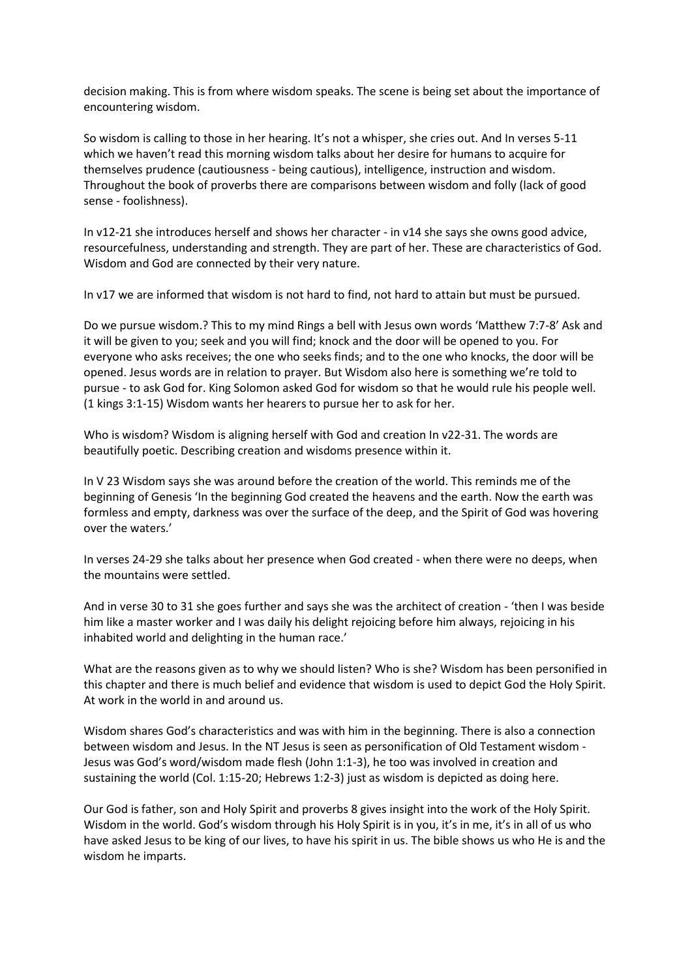decision making. This is from where wisdom speaks. The scene is being set about the importance of encountering wisdom.

So wisdom is calling to those in her hearing. It's not a whisper, she cries out. And In verses 5-11 which we haven't read this morning wisdom talks about her desire for humans to acquire for themselves prudence (cautiousness - being cautious), intelligence, instruction and wisdom. Throughout the book of proverbs there are comparisons between wisdom and folly (lack of good sense - foolishness).

In v12-21 she introduces herself and shows her character - in v14 she says she owns good advice, resourcefulness, understanding and strength. They are part of her. These are characteristics of God. Wisdom and God are connected by their very nature.

In v17 we are informed that wisdom is not hard to find, not hard to attain but must be pursued.

Do we pursue wisdom.? This to my mind Rings a bell with Jesus own words 'Matthew 7:7-8' Ask and it will be given to you; seek and you will find; knock and the door will be opened to you. For everyone who asks receives; the one who seeks finds; and to the one who knocks, the door will be opened. Jesus words are in relation to prayer. But Wisdom also here is something we're told to pursue - to ask God for. King Solomon asked God for wisdom so that he would rule his people well. (1 kings 3:1-15) Wisdom wants her hearers to pursue her to ask for her.

Who is wisdom? Wisdom is aligning herself with God and creation In v22-31. The words are beautifully poetic. Describing creation and wisdoms presence within it.

In V 23 Wisdom says she was around before the creation of the world. This reminds me of the beginning of Genesis 'In the beginning God created the heavens and the earth. Now the earth was formless and empty, darkness was over the surface of the deep, and the Spirit of God was hovering over the waters.'

In verses 24-29 she talks about her presence when God created - when there were no deeps, when the mountains were settled.

And in verse 30 to 31 she goes further and says she was the architect of creation - 'then I was beside him like a master worker and I was daily his delight rejoicing before him always, rejoicing in his inhabited world and delighting in the human race.'

What are the reasons given as to why we should listen? Who is she? Wisdom has been personified in this chapter and there is much belief and evidence that wisdom is used to depict God the Holy Spirit. At work in the world in and around us.

Wisdom shares God's characteristics and was with him in the beginning. There is also a connection between wisdom and Jesus. In the NT Jesus is seen as personification of Old Testament wisdom - Jesus was God's word/wisdom made flesh (John 1:1-3), he too was involved in creation and sustaining the world (Col. 1:15-20; Hebrews 1:2-3) just as wisdom is depicted as doing here.

Our God is father, son and Holy Spirit and proverbs 8 gives insight into the work of the Holy Spirit. Wisdom in the world. God's wisdom through his Holy Spirit is in you, it's in me, it's in all of us who have asked Jesus to be king of our lives, to have his spirit in us. The bible shows us who He is and the wisdom he imparts.